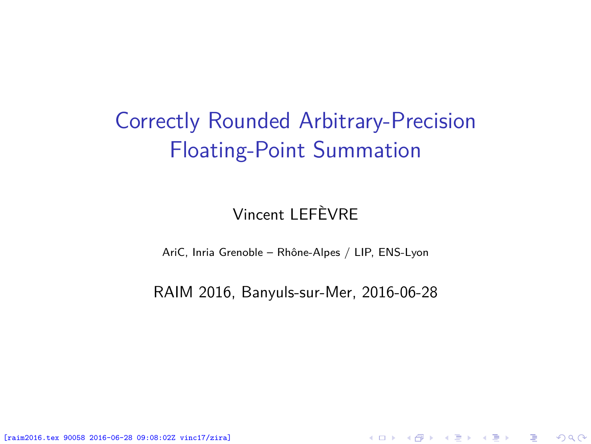## <span id="page-0-0"></span>Correctly Rounded Arbitrary-Precision Floating-Point Summation

### Vincent LEFÈVRE

AriC, Inria Grenoble – Rhône-Alpes / LIP, ENS-Lyon

RAIM 2016, Banyuls-sur-Mer, 2016-06-28

★ ロチ → 御 ▶ → 결 ▶ → 결 ▶ │ 결

 $2Q$ 

[raim2016.tex 90058 2016-06-28 09:08:02Z vinc17/zira]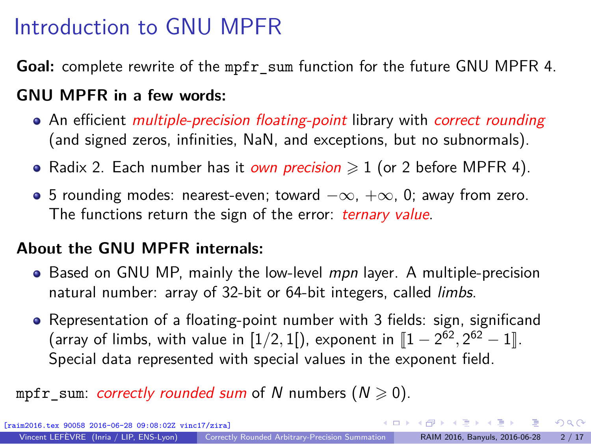## Introduction to GNU MPFR

**Goal:** complete rewrite of the mpfr\_sum function for the future GNU MPFR 4.

#### **GNU MPFR in a few words:**

- An efficient *multiple-precision floating-point* library with *correct rounding* (and signed zeros, infinities, NaN, and exceptions, but no subnormals).
- Radix 2. Each number has it *own precision*  $\geqslant$  1 (or 2 before MPFR 4).
- 5 rounding modes: nearest-even; toward  $-\infty$ ,  $+\infty$ , 0; away from zero. The functions return the sign of the error: *ternary value*.

#### **About the GNU MPFR internals:**

- Based on GNU MP, mainly the low-level mpn layer. A multiple-precision natural number: array of 32-bit or 64-bit integers, called limbs.
- Representation of a floating-point number with 3 fields: sign, significand (array of limbs, with value in  $[1/2, 1]$ ), exponent in  $[1 - 2^{62}, 2^{62} - 1]$ . Special data represented with special values in the exponent field.

#### mpfr sum: correctly rounded sum of N numbers ( $N \ge 0$ ).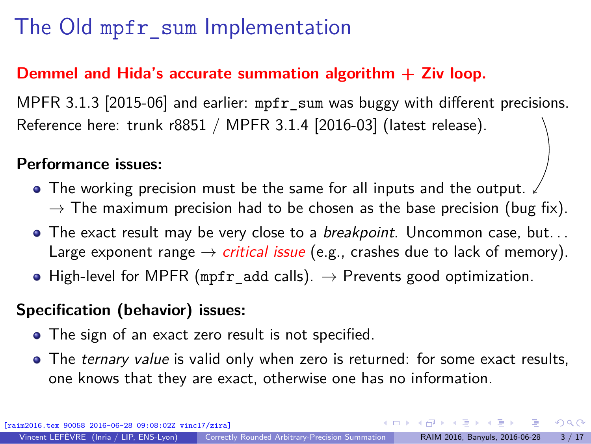## The Old mpfr\_sum Implementation

#### **Demmel and Hida's accurate summation algorithm + Ziv loop.**

MPFR 3.1.3 [2015-06] and earlier: mpfr\_sum was buggy with different precisions. Reference here: trunk r8851 / MPFR 3.1.4 [2016-03] (latest release).

#### **Performance issues:**

- The working precision must be the same for all inputs and the output.  $\rightarrow$  The maximum precision had to be chosen as the base precision (bug fix).
- $\bullet$  The exact result may be very close to a *breakpoint*. Uncommon case, but... Large exponent range  $\rightarrow$  *critical issue* (e.g., crashes due to lack of memory).
- High-level for MPFR (mpfr add calls).  $\rightarrow$  Prevents good optimization.

#### **Specification (behavior) issues:**

[raim2016.tex 90058 2016-06-28 09:08:02Z vinc17/zira]

- The sign of an exact zero result is not specified.
- The *ternary value* is valid only when zero is returned: for some exact results, one knows that they are exact, otherwise one has no information.

 $\Omega$ 

∢ロト ∢伺 ト ∢ ヨ ト ∢ ヨ ト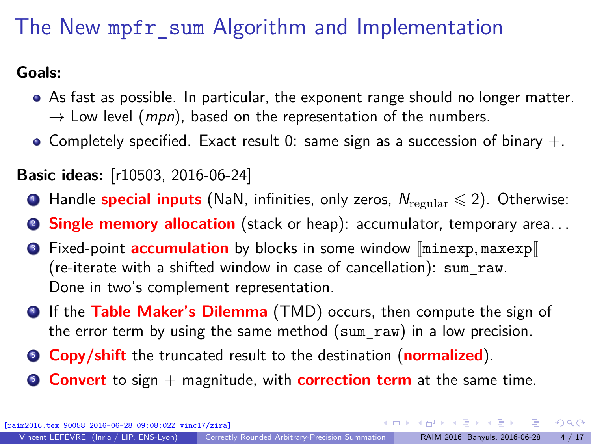## The New mpfr\_sum Algorithm and Implementation

**Goals:**

- As fast as possible. In particular, the exponent range should no longer matter.  $\rightarrow$  Low level (*mpn*), based on the representation of the numbers.
- Completely specified. Exact result 0: same sign as a succession of binary  $+$ .

### **Basic ideas:** [\[r10503,](https://gforge.inria.fr/scm/viewvc.php/mpfr/trunk/src/sum.c?revision=10503&view=markup) 2016-06-24]

- **1** Handle **special inputs** (NaN, infinities, only zeros,  $N_{\text{regular}} \leq 2$ ). Otherwise:
- **2 Single memory allocation** (stack or heap): accumulator, temporary area...
- **3** Fixed-point **accumulation** by blocks in some window  $\lceil \text{minexp}, \text{maxexp} \rceil$ (re-iterate with a shifted window in case of cancellation): sum\_raw. Done in two's complement representation.
- <sup>4</sup> If the **Table Maker's Dilemma** (TMD) occurs, then compute the sign of the error term by using the same method (sum raw) in a low precision.
- <sup>5</sup> **Copy/shift** the truncated result to the destination (**normalized**).
- <sup>6</sup> **Convert** to sign + magnitude, with **correction term** at the same time.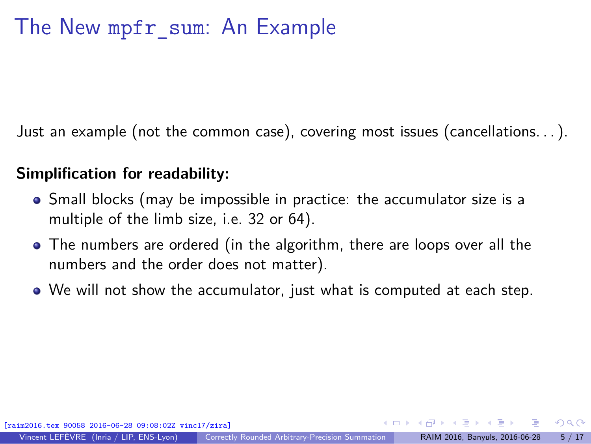Just an example (not the common case), covering most issues (cancellations. . . ).

#### **Simplification for readability:**

- Small blocks (may be impossible in practice: the accumulator size is a multiple of the limb size, i.e. 32 or 64).
- The numbers are ordered (in the algorithm, there are loops over all the numbers and the order does not matter).
- We will not show the accumulator, just what is computed at each step.

 $\Omega$ 

∢ロト ∢伺 ト ∢ ヨ ト ∢ ヨ ト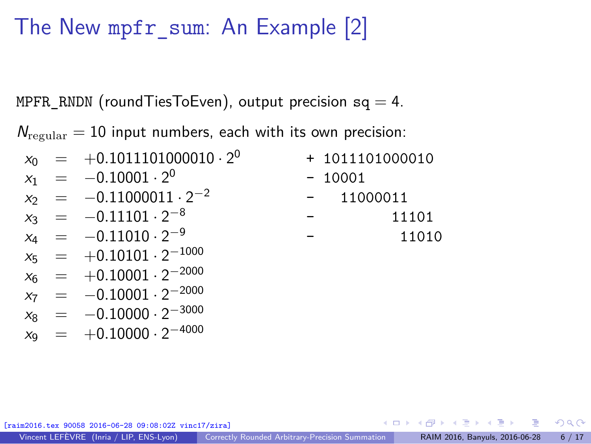### The New mpfr\_sum: An Example [2]

MPFR\_RNDN (roundTiesToEven), output precision sq = 4.

 $N_{\text{regular}} = 10$  input numbers, each with its own precision:

|  |                                                                                                                                                                                                                | + 1011101000010 |
|--|----------------------------------------------------------------------------------------------------------------------------------------------------------------------------------------------------------------|-----------------|
|  |                                                                                                                                                                                                                | $-10001$        |
|  |                                                                                                                                                                                                                | $- 11000011$    |
|  |                                                                                                                                                                                                                | 11101           |
|  |                                                                                                                                                                                                                | 11010           |
|  |                                                                                                                                                                                                                |                 |
|  | $x_0$ = $+0.1011101000010 \cdot 2^0$<br>$x_1 = -0.10001 \cdot 2^0$<br>$x_2 = -0.11000011 \cdot 2^{-2}$<br>$x_3 = -0.11101 \cdot 2^{-8}$<br>$x_4 = -0.11010 \cdot 2^{-9}$<br>$x_5$ = $+0.10101 \cdot 2^{-1000}$ |                 |

90058 2016-06-28 09:08:02Z vinc17/ziral

 $x_6$  =  $+0.10001 \cdot 2^{-2000}$  $x_7 = -0.10001 \cdot 2^{-2000}$  $x_8 = -0.10000 \cdot 2^{-3000}$  $x_9 = +0.10000 \cdot 2^{-4000}$ 

 $\Omega$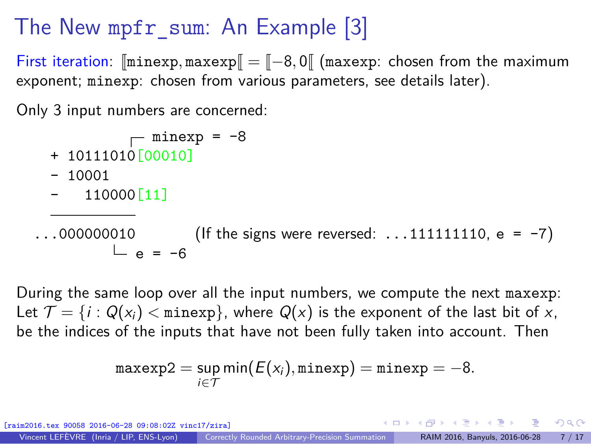## The New mpfr\_sum: An Example [3]

First iteration:  $[\text{minexp}, \text{maxexp}] = [-8, 0]$  (maxexp: chosen from the maximum exponent; minexp: chosen from various parameters, see details later).

Only 3 input numbers are concerned:

$$
\begin{array}{c}\text{minexp} = -8\\\end{array}
$$

- + 10111010[00010]
- $10001$
- 110000<sup>[11]</sup>

 $\ldots$ 000000010 (If the signs were reversed:  $\ldots$ 1111111110, e = -7)  $L_{\alpha} = -6$ 

During the same loop over all the input numbers, we compute the next maxexp: Let  $\mathcal{T} = \{i : Q(x_i) < \text{minexp}\}\$ , where  $Q(x)$  is the exponent of the last bit of x, be the indices of the inputs that have not been fully taken into account. Then

$$
\texttt{maxexp2} = \sup_{i \in \mathcal{T}} \min(E(x_i), \texttt{minexp}) = \texttt{minexp} = -8.
$$

058 2016-06-28 09:08:02Z vinc17/zira] Vincent LEFÈVRE (Inria / LIP, ENS-Lyon) [Correctly Rounded Arbitrary-Precision Summation](#page-0-0) RAIM 2016, Banyuls, 2016-06-28 7 / 17

イロト イ押 トイヨ トイヨト

 $\Omega$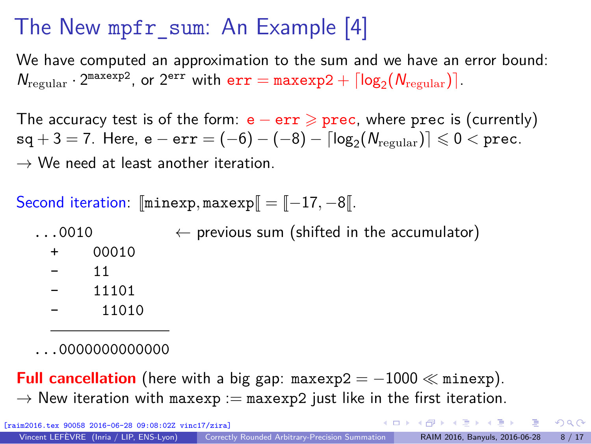## The New mpfr\_sum: An Example [4]

We have computed an approximation to the sum and we have an error bound:  $N_{\text{regular}} \cdot 2^{\text{maxexp2}}$ , or  $2^{\text{err}}$  with  $\text{err} = \text{maxexp2} + \lceil \log_2(N_{\text{regular}}) \rceil$ .

The accuracy test is of the form:  $e - err \geq prec$ , where prec is (currently)  $\mathsf{sq} + 3 = 7$ . Here,  $\mathsf{e} - \texttt{err} = (-6) - (-8) - \lceil \log_2(N_{\text{regular}}) \rceil \leqslant 0 < \texttt{prec}.$  $\rightarrow$  We need at least another iteration.

Second iteration:  $\lceil \text{minexp}, \text{maxexp} \rceil = \lceil -17, -8 \rceil$ .

 $\ldots$ 0010  $\leftarrow$  previous sum (shifted in the accumulator)

- + 00010
- 11
- 11101
- 11010

...0000000000000

**Full cancellation** (here with a big gap:  $maxexp2 = -1000 \ll minexp$ ).  $\rightarrow$  New iteration with maxexp := maxexp2 just like in the first iteration.

6-06-28 09:08:02Z vinc17/ziral

 $\Omega$ 

**K ロ ト K 何 ト K ヨ ト K ヨ ト** …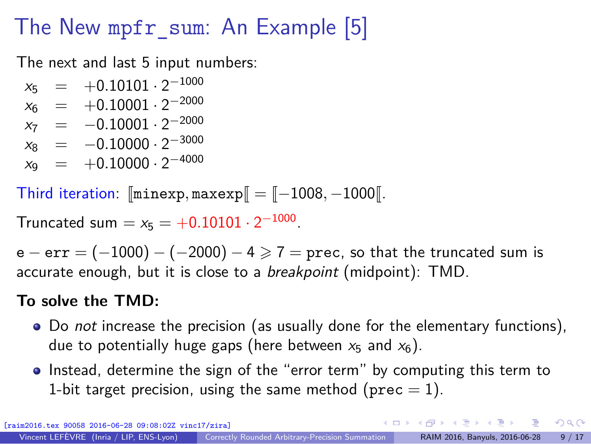## The New mpfr\_sum: An Example [5]

The next and last 5 input numbers:

 $x_5$  =  $+0.10101 \cdot 2^{-1000}$  $x_6$  =  $+0.10001 \cdot 2^{-2000}$  $x_7 = -0.10001 \cdot 2^{-2000}$  $x_8 = -0.10000 \cdot 2^{-3000}$  $x_9 = +0.10000 \cdot 2^{-4000}$ 

Third iteration:  $\lceil \text{minexp}, \text{maxexp} \rceil = \lceil -1008, -1000 \rceil$ .

Truncated sum  $= x_5 = +0.10101 \cdot 2^{-1000}$ .

 $e - err = (-1000) - (-2000) - 4 \ge 7$  = prec, so that the truncated sum is accurate enough, but it is close to a *breakpoint* (midpoint): TMD.

#### **To solve the TMD:**

- Do *not* increase the precision (as usually done for the elementary functions), due to potentially huge gaps (here between  $x_5$  and  $x_6$ ).
- Instead, determine the sign of the "error term" by computing this term to 1-bit target precision, using the same method (prec  $= 1$ ).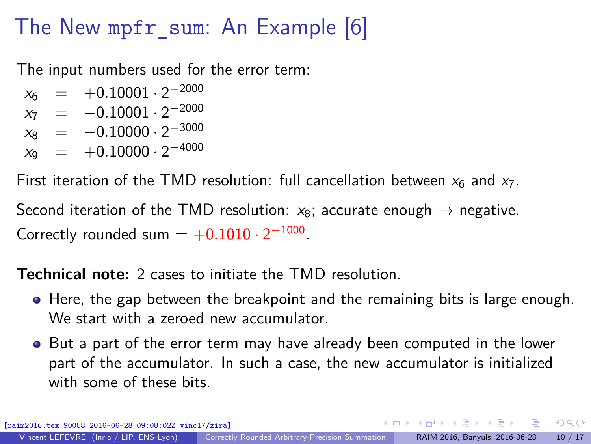## The New mpfr\_sum: An Example [6]

The input numbers used for the error term:

- $x_6$  =  $+0.10001 \cdot 2^{-2000}$
- $x_7 = -0.10001 \cdot 2^{-2000}$
- $x_8 = -0.10000 \cdot 2^{-3000}$
- $x_9 = +0.10000 \cdot 2^{-4000}$

First iteration of the TMD resolution: full cancellation between  $x_6$  and  $x_7$ .

Second iteration of the TMD resolution:  $x_8$ ; accurate enough  $\rightarrow$  negative. Correctly rounded sum  $= +0.1010 \cdot 2^{-1000}$ .

**Technical note:** 2 cases to initiate the TMD resolution.

- Here, the gap between the breakpoint and the remaining bits is large enough. We start with a zeroed new accumulator.
- But a part of the error term may have already been computed in the lower part of the accumulator. In such a case, the new accumulator is initialized with some of these bits.

 $\mathbf{A} \otimes \mathbf{A} \rightarrow \mathbf{A} \otimes \mathbf{A} \rightarrow \mathbf{A} \otimes \mathbf{A} \rightarrow \mathbf{A} \otimes \mathbf{A} \rightarrow \mathbf{A} \otimes \mathbf{A} \rightarrow \mathbf{A} \otimes \mathbf{A} \rightarrow \mathbf{A} \otimes \mathbf{A} \rightarrow \mathbf{A} \otimes \mathbf{A} \rightarrow \mathbf{A} \otimes \mathbf{A} \rightarrow \mathbf{A} \otimes \mathbf{A} \rightarrow \mathbf{A} \otimes \mathbf{A} \rightarrow \mathbf{A} \otimes \mathbf{A} \rightarrow \mathbf{A} \otimes \mathbf{A} \$ 

 $\Omega$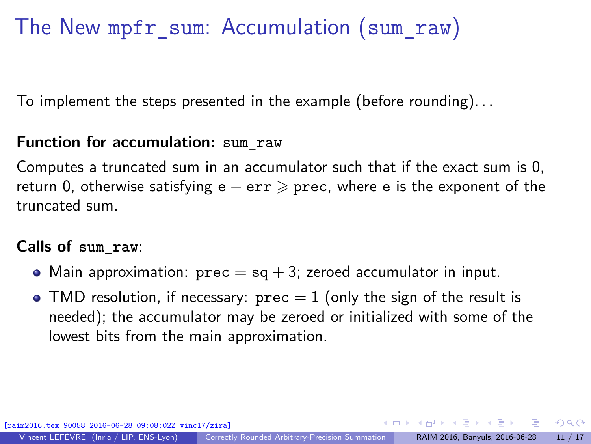## The New mpfr\_sum: Accumulation (sum\_raw)

To implement the steps presented in the example (before rounding). . .

#### **Function for accumulation:** sum\_raw

Computes a truncated sum in an accumulator such that if the exact sum is 0, return 0, otherwise satisfying e  $-$  err  $\geqslant$  prec, where e is the exponent of the truncated sum.

#### **Calls of sum\_raw**:

- Main approximation:  $prec = sq + 3$ ; zeroed accumulator in input.
- TMD resolution, if necessary:  $prec = 1$  (only the sign of the result is needed); the accumulator may be zeroed or initialized with some of the lowest bits from the main approximation.

[raim2016.tex 90058 2016-06-28 09:08:02Z vinc17/zira]

イロト イ押 トイヨ トイヨト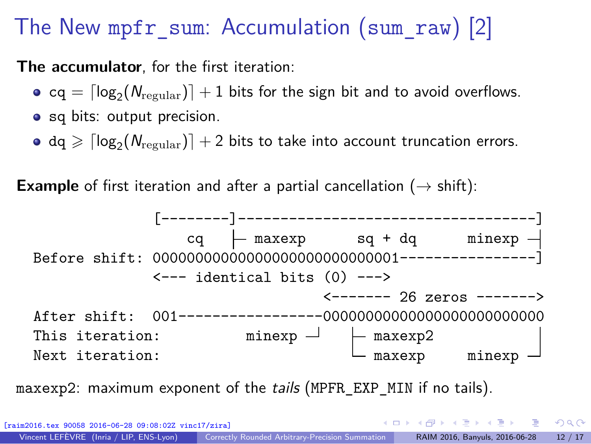### The New mpfr\_sum: Accumulation (sum\_raw) [2]

**The accumulator**, for the first iteration:

- $\textsf{cq} = \lceil \textsf{log}_{2} (N_{\text{regular}}) \rceil + 1$  bits for the sign bit and to avoid overflows.
- sq bits: output precision.
- $\texttt{dq} \geqslant \lceil \log_2(N_\text{regular}) \rceil + 2$  bits to take into account truncation errors.

**Example** of first iteration and after a partial cancellation ( $\rightarrow$  shift):



maxexp2: maximum exponent of the tails (MPFR\_EXP\_MIN if no tails).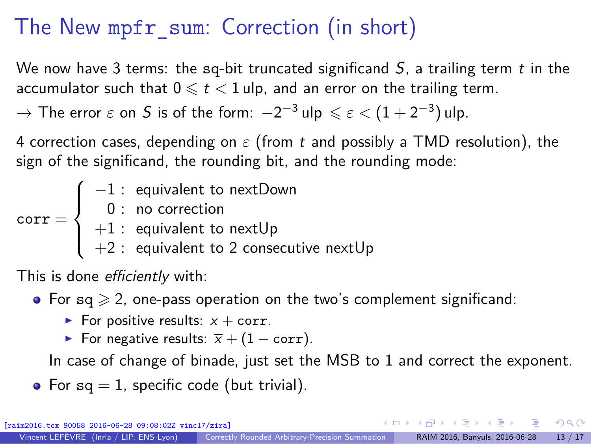## The New mpfr\_sum: Correction (in short)

We now have 3 terms: the sq-bit truncated significand  $S$ , a trailing term t in the accumulator such that  $0 \leq t < 1$  ulp, and an error on the trailing term.

 $\rightarrow$  The error  $\varepsilon$  on  $S$  is of the form:  $-2^{-3}$  ulp  $\leqslant \varepsilon < (1+2^{-3})$  ulp.

4 correction cases, depending on *ε* (from t and possibly a TMD resolution), the sign of the significand, the rounding bit, and the rounding mode:

corr =  $\sqrt{ }$  $\int$  $\overline{a}$ −1 : equivalent to nextDown 0 : no correction  $+1$  : equivalent to next $\sf Up$  $+2$  : equivalent to 2 consecutive nextUp

This is done *efficiently* with:

• For  $sq \geqslant 2$ , one-pass operation on the two's complement significand:

- ► For positive results:  $x + corr$ .
- For negative results:  $\overline{x} + (1 corr)$ .

In case of change of binade, just set the MSB to 1 and correct the exponent.

• For  $sq = 1$ , specific code (but trivial).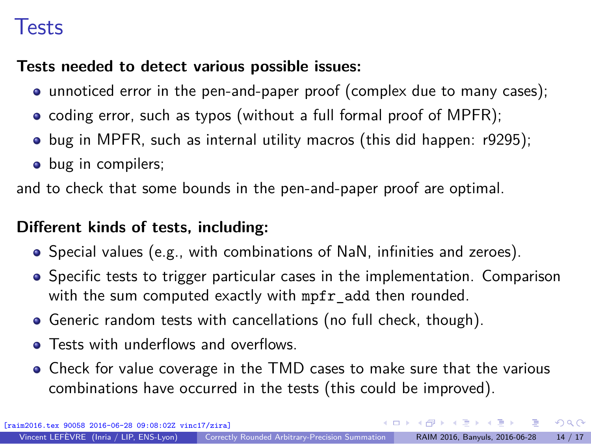### Tests

#### **Tests needed to detect various possible issues:**

- unnoticed error in the pen-and-paper proof (complex due to many cases);
- coding error, such as typos (without a full formal proof of MPFR);
- $\bullet$  bug in MPFR, such as internal utility macros (this did happen: [r9295\)](https://gforge.inria.fr/scm/viewvc.php/mpfr?view=revision&revision=9295);
- bug in compilers;

and to check that some bounds in the pen-and-paper proof are optimal.

### **Different kinds of tests, including:**

- Special values (e.g., with combinations of NaN, infinities and zeroes).
- Specific tests to trigger particular cases in the implementation. Comparison with the sum computed exactly with mpfr\_add then rounded.
- Generic random tests with cancellations (no full check, though).
- **Tests with underflows and overflows.**
- Check for value coverage in the TMD cases to make sure that the various combinations have occurred in the tests (this could be improved).

 $\Omega$ 

イロト イ押 トイヨ トイヨト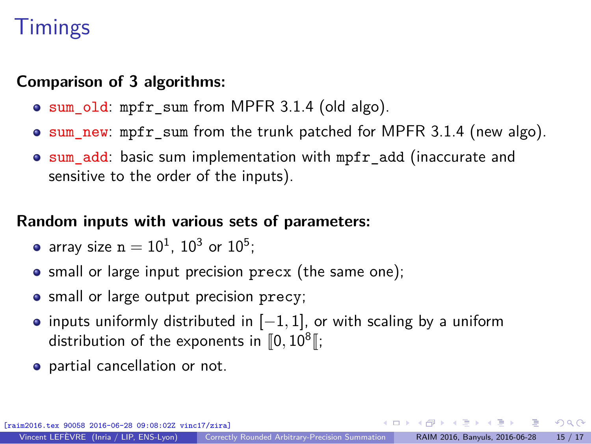### **Timings**

#### **Comparison of 3 algorithms:**

- sum\_old: mpfr\_sum from MPFR 3.1.4 (old algo).
- $\bullet$  sum new: mpfr sum from the trunk patched for MPFR 3.1.4 (new algo).
- sum add: basic sum implementation with mpfr\_add (inaccurate and sensitive to the order of the inputs).

### **Random inputs with various sets of parameters:**

- array size  $n=10^1$ ,  $10^3$  or  $10^5$ ;
- small or large input precision precx (the same one);
- small or large output precision precy;
- inputs uniformly distributed in [−1, 1], or with scaling by a uniform distribution of the exponents in  $\llbracket 0, 10^8 \rrbracket;$
- **•** partial cancellation or not.

 $\left\{ \begin{array}{ccc} \square & \times & \overline{c} & \overline{c} & \rightarrow & \overline{c} & \rightarrow & \overline{c} & \rightarrow & \overline{c} & \rightarrow & \overline{c} & \rightarrow & \overline{c} & \rightarrow & \overline{c} & \rightarrow & \overline{c} & \rightarrow & \overline{c} & \rightarrow & \overline{c} & \rightarrow & \overline{c} & \rightarrow & \overline{c} & \rightarrow & \overline{c} & \rightarrow & \overline{c} & \rightarrow & \overline{c} & \rightarrow & \overline{c} & \rightarrow & \overline{c} & \rightarrow & \overline{c} & \rightarrow & \overline{c} & \rightarrow & \overline{c}$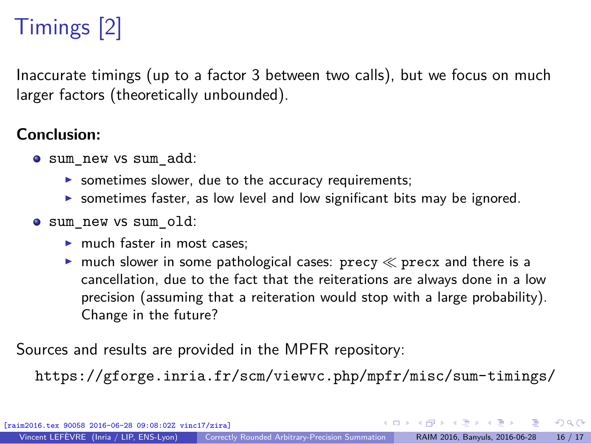# Timings [2]

Inaccurate timings (up to a factor 3 between two calls), but we focus on much larger factors (theoretically unbounded).

#### **Conclusion:**

- sum\_new vs sum\_add:
	- $\triangleright$  sometimes slower, due to the accuracy requirements;
	- ▶ sometimes faster, as low level and low significant bits may be ignored.
- sum\_new vs sum\_old:
	- ► much faster in most cases:
	- ighthrow much slower in some pathological cases: precy  $\ll$  precx and there is a cancellation, due to the fact that the reiterations are always done in a low precision (assuming that a reiteration would stop with a large probability). Change in the future?

Sources and results are provided in the MPFR repository:

<https://gforge.inria.fr/scm/viewvc.php/mpfr/misc/sum-timings/>